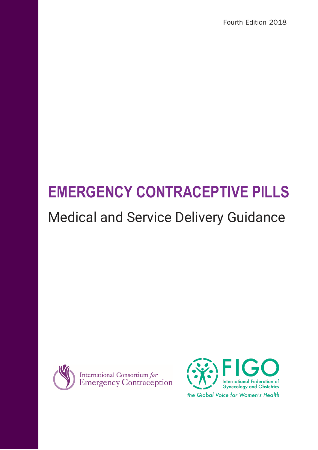# **EMERGENCY CONTRACEPTIVE PILLS**

## Medical and Service Delivery Guidance



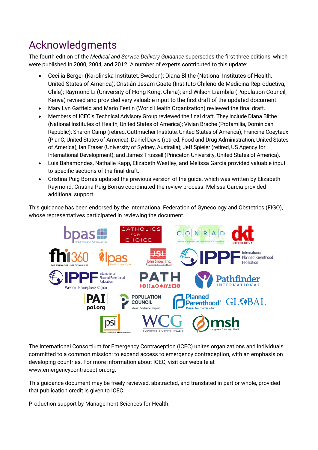## Acknowledgments

The fourth edition of the *Medical and Service Delivery Guidance* supersedes the first three editions, which were published in 2000, 2004, and 2012. A number of experts contributed to this update:

- Cecilia Berger (Karolinska Institutet, Sweden); Diana Blithe (National Institutes of Health, United States of America); Cristián Jesam Gaete (Instituto Chileno de Medicina Reproductiva, Chile); Raymond Li (University of Hong Kong, China); and Wilson Liambila (Population Council, Kenya) revised and provided very valuable input to the first draft of the updated document.
- Mary Lyn Gaffield and Mario Festin (World Health Organization) reviewed the final draft.
- Members of ICEC's Technical Advisory Group reviewed the final draft. They include Diana Blithe (National Institutes of Health, United States of America); Vivian Brache (Profamilia, Dominican Republic); Sharon Camp (retired, Guttmacher Institute, United States of America); Francine Coeytaux (PlanC, United States of America); Daniel Davis (retired, Food and Drug Administration, United States of America); Ian Fraser (University of Sydney, Australia); Jeff Spieler (retired, US Agency for International Development); and James Trussell (Princeton University, United States of America).
- Luis Bahamondes, Nathalie Kapp, Elizabeth Westley, and Melissa Garcia provided valuable input to specific sections of the final draft.
- Cristina Puig Borràs updated the previous version of the guide, which was written by Elizabeth Raymond. Cristina Puig Borràs coordinated the review process. Melissa Garcia provided additional support.

This guidance has been endorsed by the International Federation of Gynecology and Obstetrics (FIGO), whose representatives participated in reviewing the document.



The International Consortium for Emergency Contraception (ICEC) unites organizations and individuals committed to a common mission: to expand access to emergency contraception, with an emphasis on developing countries. For more information about ICEC, visit our website at www.emergencycontraception.org.

This guidance document may be freely reviewed, abstracted, and translated in part or whole, provided that publication credit is given to ICEC.

Production support by Management Sciences for Health.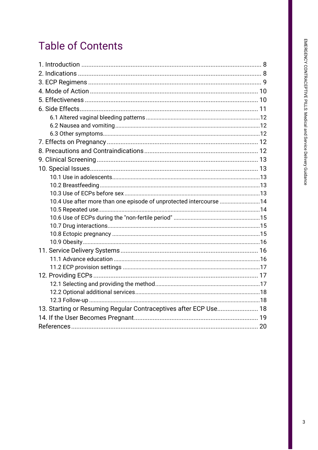## **Table of Contents**

| 10.4 Use after more than one episode of unprotected intercourse 14 |  |
|--------------------------------------------------------------------|--|
|                                                                    |  |
|                                                                    |  |
|                                                                    |  |
|                                                                    |  |
|                                                                    |  |
|                                                                    |  |
|                                                                    |  |
|                                                                    |  |
|                                                                    |  |
|                                                                    |  |
|                                                                    |  |
|                                                                    |  |
| 13. Starting or Resuming Regular Contraceptives after ECP Use 18   |  |
|                                                                    |  |
|                                                                    |  |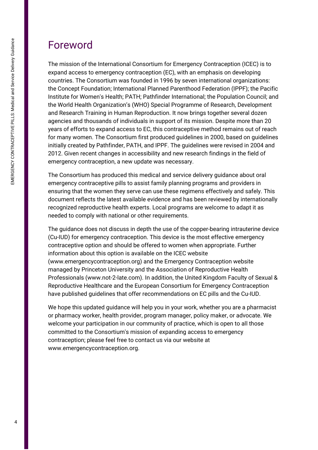## Foreword

The mission of the International Consortium for Emergency Contraception (ICEC) is to expand access to emergency contraception (EC), with an emphasis on developing countries. The Consortium was founded in 1996 by seven international organizations: the Concept Foundation; International Planned Parenthood Federation (IPPF); the Pacific Institute for Women's Health; PATH; Pathfinder International; the Population Council; and the World Health Organization's (WHO) Special Programme of Research, Development and Research Training in Human Reproduction. It now brings together several dozen agencies and thousands of individuals in support of its mission. Despite more than 20 years of efforts to expand access to EC, this contraceptive method remains out of reach for many women. The Consortium first produced guidelines in 2000, based on guidelines initially created by Pathfinder, PATH, and IPPF. The guidelines were revised in 2004 and 2012. Given recent changes in accessibility and new research findings in the field of emergency contraception, a new update was necessary.

The Consortium has produced this medical and service delivery guidance about oral emergency contraceptive pills to assist family planning programs and providers in ensuring that the women they serve can use these regimens effectively and safely. This document reflects the latest available evidence and has been reviewed by internationally recognized reproductive health experts. Local programs are welcome to adapt it as needed to comply with national or other requirements.

The guidance does not discuss in depth the use of the copper-bearing intrauterine device (Cu-IUD) for emergency contraception. This device is the most effective emergency contraceptive option and should be offered to women when appropriate. Further information about this option is available on the ICEC website (www.emergencycontraception.org) and the Emergency Contraception website managed by Princeton University and the Association of Reproductive Health Professionals (www.not-2-late.com). In addition, the United Kingdom Faculty of Sexual & Reproductive Healthcare and the European Consortium for Emergency Contraception have published guidelines that offer recommendations on EC pills and the Cu-IUD.

We hope this updated guidance will help you in your work, whether you are a pharmacist or pharmacy worker, health provider, program manager, policy maker, or advocate. We welcome your participation in our community of practice, which is open to all those committed to the Consortium's mission of expanding access to emergency contraception; please feel free to contact us via our website at www.emergencycontraception.org.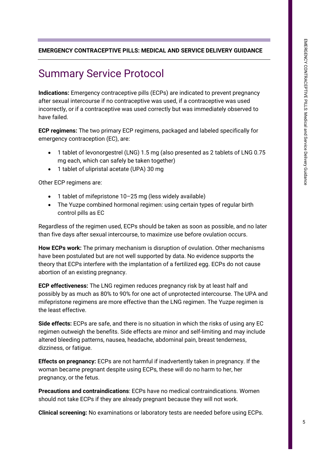#### **EMERGENCY CONTRACEPTIVE PILLS: MEDICAL AND SERVICE DELIVERY GUIDANCE**

## Summary Service Protocol

**Indications:** Emergency contraceptive pills (ECPs) are indicated to prevent pregnancy after sexual intercourse if no contraceptive was used, if a contraceptive was used incorrectly, or if a contraceptive was used correctly but was immediately observed to have failed.

**ECP regimens:** The two primary ECP regimens, packaged and labeled specifically for emergency contraception (EC), are:

- 1 tablet of levonorgestrel (LNG) 1.5 mg (also presented as 2 tablets of LNG 0.75 mg each, which can safely be taken together)
- 1 tablet of ulipristal acetate (UPA) 30 mg

Other ECP regimens are:

- 1 tablet of mifepristone 10–25 mg (less widely available)
- The Yuzpe combined hormonal regimen: using certain types of regular birth control pills as EC

Regardless of the regimen used, ECPs should be taken as soon as possible, and no later than five days after sexual intercourse, to maximize use before ovulation occurs.

**How ECPs work:** The primary mechanism is disruption of ovulation. Other mechanisms have been postulated but are not well supported by data. No evidence supports the theory that ECPs interfere with the implantation of a fertilized egg. ECPs do not cause abortion of an existing pregnancy.

**ECP effectiveness:** The LNG regimen reduces pregnancy risk by at least half and possibly by as much as 80% to 90% for one act of unprotected intercourse. The UPA and mifepristone regimens are more effective than the LNG regimen. The Yuzpe regimen is the least effective.

**Side effects:** ECPs are safe, and there is no situation in which the risks of using any EC regimen outweigh the benefits. Side effects are minor and self-limiting and may include altered bleeding patterns, nausea, headache, abdominal pain, breast tenderness, dizziness, or fatigue.

**Effects on pregnancy:** ECPs are not harmful if inadvertently taken in pregnancy. If the woman became pregnant despite using ECPs, these will do no harm to her, her pregnancy, or the fetus.

**Precautions and contraindications**: ECPs have no medical contraindications. Women should not take ECPs if they are already pregnant because they will not work.

**Clinical screening:** No examinations or laboratory tests are needed before using ECPs.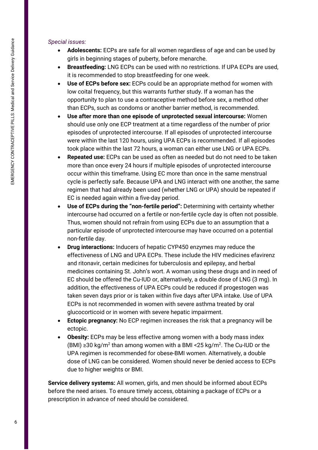#### *Special issues:*

- **Adolescents:** ECPs are safe for all women regardless of age and can be used by girls in beginning stages of puberty, before menarche.
- **Breastfeeding:** LNG ECPs can be used with no restrictions. If UPA ECPs are used, it is recommended to stop breastfeeding for one week.
- **Use of ECPs before sex:** ECPs could be an appropriate method for women with low coital frequency, but this warrants further study. If a woman has the opportunity to plan to use a contraceptive method before sex, a method other than ECPs, such as condoms or another barrier method, is recommended.
- **Use after more than one episode of unprotected sexual intercourse:** Women should use only one ECP treatment at a time regardless of the number of prior episodes of unprotected intercourse. If all episodes of unprotected intercourse were within the last 120 hours, using UPA ECPs is recommended. If all episodes took place within the last 72 hours, a woman can either use LNG or UPA ECPs.
- **Repeated use:** ECPs can be used as often as needed but do not need to be taken more than once every 24 hours if multiple episodes of unprotected intercourse occur within this timeframe. Using EC more than once in the same menstrual cycle is perfectly safe. Because UPA and LNG interact with one another, the same regimen that had already been used (whether LNG or UPA) should be repeated if EC is needed again within a five-day period.
- **Use of ECPs during the "non-fertile period":** Determining with certainty whether intercourse had occurred on a fertile or non-fertile cycle day is often not possible. Thus, women should not refrain from using ECPs due to an assumption that a particular episode of unprotected intercourse may have occurred on a potential non-fertile day.
- **Drug interactions:** Inducers of hepatic CYP450 enzymes may reduce the effectiveness of LNG and UPA ECPs. These include the HIV medicines efavirenz and ritonavir, certain medicines for tuberculosis and epilepsy, and herbal medicines containing St. John's wort. A woman using these drugs and in need of EC should be offered the Cu-IUD or, alternatively, a double dose of LNG (3 mg). In addition, the effectiveness of UPA ECPs could be reduced if progestogen was taken seven days prior or is taken within five days after UPA intake. Use of UPA ECPs is not recommended in women with severe asthma treated by oral glucocorticoid or in women with severe hepatic impairment.
- **Ectopic pregnancy:** No ECP regimen increases the risk that a pregnancy will be ectopic.
- **Obesity:** ECPs may be less effective among women with a body mass index (BMI) ≥30 kg/m<sup>2</sup> than among women with a BMI <25 kg/m<sup>2</sup>. The Cu-IUD or the UPA regimen is recommended for obese-BMI women. Alternatively, a double dose of LNG can be considered. Women should never be denied access to ECPs due to higher weights or BMI.

**Service delivery systems:** All women, girls, and men should be informed about ECPs before the need arises. To ensure timely access, obtaining a package of ECPs or a prescription in advance of need should be considered.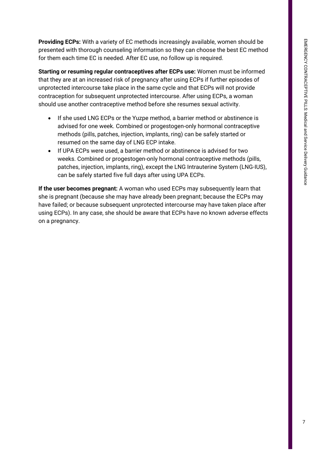**Providing ECPs:** With a variety of EC methods increasingly available, women should be presented with thorough counseling information so they can choose the best EC method for them each time EC is needed. After EC use, no follow up is required.

**Starting or resuming regular contraceptives after ECPs use:** Women must be informed that they are at an increased risk of pregnancy after using ECPs if further episodes of unprotected intercourse take place in the same cycle and that ECPs will not provide contraception for subsequent unprotected intercourse. After using ECPs, a woman should use another contraceptive method before she resumes sexual activity.

- If she used LNG ECPs or the Yuzpe method, a barrier method or abstinence is advised for one week. Combined or progestogen-only hormonal contraceptive methods (pills, patches, injection, implants, ring) can be safely started or resumed on the same day of LNG ECP intake.
- If UPA ECPs were used, a barrier method or abstinence is advised for two weeks. Combined or progestogen-only hormonal contraceptive methods (pills, patches, injection, implants, ring), except the LNG Intrauterine System (LNG-IUS), can be safely started five full days after using UPA ECPs.

**If the user becomes pregnant:** A woman who used ECPs may subsequently learn that she is pregnant (because she may have already been pregnant; because the ECPs may have failed; or because subsequent unprotected intercourse may have taken place after using ECPs). In any case, she should be aware that ECPs have no known adverse effects on a pregnancy.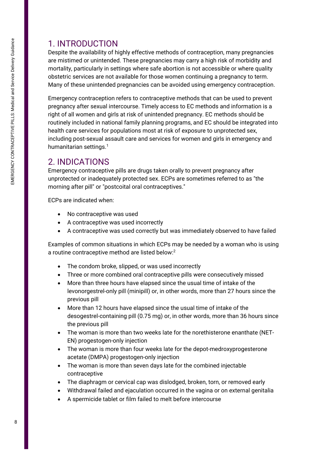## 1. INTRODUCTION

Despite the availability of highly effective methods of contraception, many pregnancies are mistimed or unintended. These pregnancies may carry a high risk of morbidity and mortality, particularly in settings where safe abortion is not accessible or where quality obstetric services are not available for those women continuing a pregnancy to term. Many of these unintended pregnancies can be avoided using emergency contraception.

Emergency contraception refers to contraceptive methods that can be used to prevent pregnancy after sexual intercourse. Timely access to EC methods and information is a right of all women and girls at risk of unintended pregnancy. EC methods should be routinely included in national family planning programs, and EC should be integrated into health care services for populations most at risk of exposure to unprotected sex, including post-sexual assault care and services for women and girls in emergency and humanitarian settings.<sup>1</sup>

## 2. INDICATIONS

Emergency contraceptive pills are drugs taken orally to prevent pregnancy after unprotected or inadequately protected sex. ECPs are sometimes referred to as "the morning after pill" or "postcoital oral contraceptives."

ECPs are indicated when:

- No contraceptive was used
- A contraceptive was used incorrectly
- A contraceptive was used correctly but was immediately observed to have failed

Examples of common situations in which ECPs may be needed by a woman who is using a routine contraceptive method are listed below:<sup>2</sup>

- The condom broke, slipped, or was used incorrectly
- Three or more combined oral contraceptive pills were consecutively missed
- More than three hours have elapsed since the usual time of intake of the levonorgestrel-only pill (minipill) or, in other words, more than 27 hours since the previous pill
- More than 12 hours have elapsed since the usual time of intake of the desogestrel-containing pill (0.75 mg) or, in other words, more than 36 hours since the previous pill
- The woman is more than two weeks late for the norethisterone enanthate (NET-EN) progestogen-only injection
- The woman is more than four weeks late for the depot-medroxyprogesterone acetate (DMPA) progestogen-only injection
- The woman is more than seven days late for the combined injectable contraceptive
- The diaphragm or cervical cap was dislodged, broken, torn, or removed early
- Withdrawal failed and ejaculation occurred in the vagina or on external genitalia
- A spermicide tablet or film failed to melt before intercourse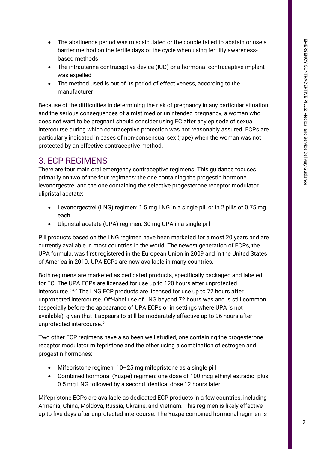- The abstinence period was miscalculated or the couple failed to abstain or use a barrier method on the fertile days of the cycle when using fertility awarenessbased methods
- The intrauterine contraceptive device (IUD) or a hormonal contraceptive implant was expelled
- The method used is out of its period of effectiveness, according to the manufacturer

Because of the difficulties in determining the risk of pregnancy in any particular situation and the serious consequences of a mistimed or unintended pregnancy, a woman who does not want to be pregnant should consider using EC after any episode of sexual intercourse during which contraceptive protection was not reasonably assured. ECPs are particularly indicated in cases of non-consensual sex (rape) when the woman was not protected by an effective contraceptive method.

## 3. ECP REGIMENS

There are four main oral emergency contraceptive regimens. This guidance focuses primarily on two of the four regimens: the one containing the progestin hormone levonorgestrel and the one containing the selective progesterone receptor modulator ulipristal acetate:

- Levonorgestrel (LNG) regimen: 1.5 mg LNG in a single pill or in 2 pills of 0.75 mg each
- Ulipristal acetate (UPA) regimen: 30 mg UPA in a single pill

Pill products based on the LNG regimen have been marketed for almost 20 years and are currently available in most countries in the world. The newest generation of ECPs, the UPA formula, was first registered in the European Union in 2009 and in the United States of America in 2010. UPA ECPs are now available in many countries.

Both regimens are marketed as dedicated products, specifically packaged and labeled for EC. The UPA ECPs are licensed for use up to 120 hours after unprotected intercourse.<sup>3,4,5</sup> The LNG ECP products are licensed for use up to 72 hours after unprotected intercourse. Off-label use of LNG beyond 72 hours was and is still common (especially before the appearance of UPA ECPs or in settings where UPA is not available), given that it appears to still be moderately effective up to 96 hours after unprotected intercourse. 6

Two other ECP regimens have also been well studied, one containing the progesterone receptor modulator mifepristone and the other using a combination of estrogen and progestin hormones:

- Mifepristone regimen: 10–25 mg mifepristone as a single pill
- Combined hormonal (Yuzpe) regimen: one dose of 100 mcg ethinyl estradiol plus 0.5 mg LNG followed by a second identical dose 12 hours later

Mifepristone ECPs are available as dedicated ECP products in a few countries, including Armenia, China, Moldova, Russia, Ukraine, and Vietnam. This regimen is likely effective up to five days after unprotected intercourse. The Yuzpe combined hormonal regimen is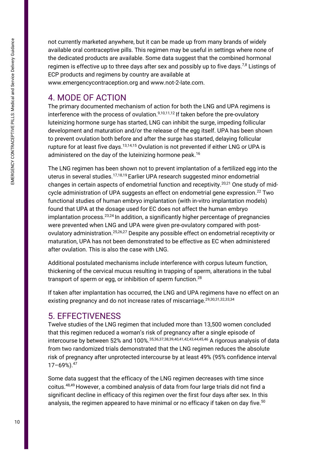not currently marketed anywhere, but it can be made up from many brands of widely available oral contraceptive pills. This regimen may be useful in settings where none of the dedicated products are available. Some data suggest that the combined hormonal regimen is effective up to three days after sex and possibly up to five days.<sup>7,8</sup> Listings of ECP products and regimens by country are available at

www.emergencycontraception.org and www.not-2-late.com.

## 4. MODE OF ACTION

The primary documented mechanism of action for both the LNG and UPA regimens is interference with the process of ovulation. $9,10,11,12$  If taken before the pre-ovulatory luteinizing hormone surge has started, LNG can inhibit the surge, impeding follicular development and maturation and/or the release of the egg itself. UPA has been shown to prevent ovulation both before and after the surge has started, delaying follicular rupture for at least five days.<sup>13,14,15</sup> Ovulation is not prevented if either LNG or UPA is administered on the day of the luteinizing hormone peak.<sup>16</sup>

The LNG regimen has been shown not to prevent implantation of a fertilized egg into the uterus in several studies.17,18,19 Earlier UPA research suggested minor endometrial changes in certain aspects of endometrial function and receptivity.<sup>20,21</sup> One study of midcycle administration of UPA suggests an effect on endometrial gene expression. <sup>22</sup> Two functional studies of human embryo implantation (with in-vitro implantation models) found that UPA at the dosage used for EC does not affect the human embryo implantation process.  $23,24$  In addition, a significantly higher percentage of pregnancies were prevented when LNG and UPA were given pre-ovulatory compared with postovulatory administration.<sup>25,26,27</sup> Despite any possible effect on endometrial receptivity or maturation, UPA has not been demonstrated to be effective as EC when administered after ovulation. This is also the case with LNG.

Additional postulated mechanisms include interference with corpus luteum function, thickening of the cervical mucus resulting in trapping of sperm, alterations in the tubal transport of sperm or egg, or inhibition of sperm function.<sup>28</sup>

If taken after implantation has occurred, the LNG and UPA regimens have no effect on an existing pregnancy and do not increase rates of miscarriage.<sup>29,30,31,32,33,34</sup>

## 5. EFFECTIVENESS

Twelve studies of the LNG regimen that included more than 13,500 women concluded that this regimen reduced a woman's risk of pregnancy after a single episode of intercourse by between 52% and 100%.35,36,37,38,39,40,41,42,43,44,45,46 A rigorous analysis of data from two randomized trials demonstrated that the LNG regimen reduces the absolute risk of pregnancy after unprotected intercourse by at least 49% (95% confidence interval 17–69%). 47

Some data suggest that the efficacy of the LNG regimen decreases with time since coitus.48,49 However, a combined analysis of data from four large trials did not find a significant decline in efficacy of this regimen over the first four days after sex. In this analysis, the regimen appeared to have minimal or no efficacy if taken on day five.  $50$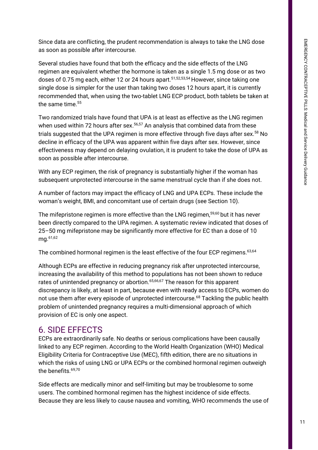Since data are conflicting, the prudent recommendation is always to take the LNG dose as soon as possible after intercourse.

Several studies have found that both the efficacy and the side effects of the LNG regimen are equivalent whether the hormone is taken as a single 1.5 mg dose or as two doses of 0.75 mg each, either 12 or 24 hours apart.<sup>51,52,53,54</sup> However, since taking one single dose is simpler for the user than taking two doses 12 hours apart, it is currently recommended that, when using the two-tablet LNG ECP product, both tablets be taken at the same time.<sup>55</sup>

Two randomized trials have found that UPA is at least as effective as the LNG regimen when used within 72 hours after sex.<sup>56,57</sup> An analysis that combined data from these trials suggested that the UPA regimen is more effective through five days after sex. <sup>58</sup> No decline in efficacy of the UPA was apparent within five days after sex. However, since effectiveness may depend on delaying ovulation, it is prudent to take the dose of UPA as soon as possible after intercourse.

With any ECP regimen, the risk of pregnancy is substantially higher if the woman has subsequent unprotected intercourse in the same menstrual cycle than if she does not.

A number of factors may impact the efficacy of LNG and UPA ECPs. These include the woman's weight, BMI, and concomitant use of certain drugs (see Section 10).

The mifepristone regimen is more effective than the LNG regimen, 59,60 but it has never been directly compared to the UPA regimen. A systematic review indicated that doses of 25–50 mg mifepristone may be significantly more effective for EC than a dose of 10 mg.61,62

The combined hormonal regimen is the least effective of the four ECP regimens.<sup>63,64</sup>

Although ECPs are effective in reducing pregnancy risk after unprotected intercourse, increasing the availability of this method to populations has not been shown to reduce rates of unintended pregnancy or abortion.<sup>65,66,67</sup> The reason for this apparent discrepancy is likely, at least in part, because even with ready access to ECPs, women do not use them after every episode of unprotected intercourse. <sup>68</sup> Tackling the public health problem of unintended pregnancy requires a multi-dimensional approach of which provision of EC is only one aspect.

### 6. SIDE EFFECTS

ECPs are extraordinarily safe. No deaths or serious complications have been causally linked to any ECP regimen. According to the World Health Organization (WHO) Medical Eligibility Criteria for Contraceptive Use (MEC), fifth edition, there are no situations in which the risks of using LNG or UPA ECPs or the combined hormonal regimen outweigh the benefits.<sup>69,70</sup>

Side effects are medically minor and self-limiting but may be troublesome to some users. The combined hormonal regimen has the highest incidence of side effects. Because they are less likely to cause nausea and vomiting, WHO recommends the use of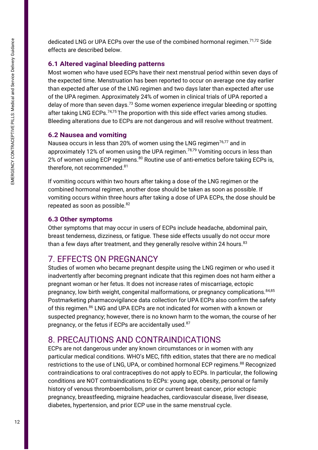EMERGENCY CONTRACEPTIVE PILLS: Medical and Service Delivery Guidance 12EMERGENCY CONTRACEPTIVE PILLS: Medical and Service Delivery Guidance dedicated LNG or UPA ECPs over the use of the combined hormonal regimen.<sup>71,72</sup> Side effects are described below.

#### **6.1 Altered vaginal bleeding patterns**

Most women who have used ECPs have their next menstrual period within seven days of the expected time. Menstruation has been reported to occur on average one day earlier than expected after use of the LNG regimen and two days later than expected after use of the UPA regimen. Approximately 24% of women in clinical trials of UPA reported a delay of more than seven days.<sup>73</sup> Some women experience irregular bleeding or spotting after taking LNG ECPs. $74.75$  The proportion with this side effect varies among studies. Bleeding alterations due to ECPs are not dangerous and will resolve without treatment.

#### **6.2 Nausea and vomiting**

Nausea occurs in less than 20% of women using the LNG regimen<sup>76,77</sup> and in approximately 12% of women using the UPA regimen.<sup>78,79</sup> Vomiting occurs in less than 2% of women using ECP regimens.<sup>80</sup> Routine use of anti-emetics before taking ECPs is, therefore, not recommended. 81

If vomiting occurs within two hours after taking a dose of the LNG regimen or the combined hormonal regimen, another dose should be taken as soon as possible. If vomiting occurs within three hours after taking a dose of UPA ECPs, the dose should be repeated as soon as possible.<sup>82</sup>

#### **6.3 Other symptoms**

Other symptoms that may occur in users of ECPs include headache, abdominal pain, breast tenderness, dizziness, or fatigue. These side effects usually do not occur more than a few days after treatment, and they generally resolve within 24 hours.  $83$ 

## 7. EFFECTS ON PREGNANCY

pregnancy, low birth weight, congenital malformations, or pregnancy complications.<sup>84,85</sup> Studies of women who became pregnant despite using the LNG regimen or who used it inadvertently after becoming pregnant indicate that this regimen does not harm either a pregnant woman or her fetus. It does not increase rates of miscarriage, ectopic Postmarketing pharmacovigilance data collection for UPA ECPs also confirm the safety of this regimen. <sup>86</sup> LNG and UPA ECPs are not indicated for women with a known or suspected pregnancy; however, there is no known harm to the woman, the course of her pregnancy, or the fetus if ECPs are accidentally used.<sup>87</sup>

## 8. PRECAUTIONS AND CONTRAINDICATIONS

ECPs are not dangerous under any known circumstances or in women with any particular medical conditions. WHO's MEC, fifth edition, states that there are no medical restrictions to the use of LNG, UPA, or combined hormonal ECP regimens.<sup>88</sup> Recognized contraindications to oral contraceptives do not apply to ECPs. In particular, the following conditions are NOT contraindications to ECPs: young age, obesity, personal or family history of venous thromboembolism, prior or current breast cancer, prior ectopic pregnancy, breastfeeding, migraine headaches, cardiovascular disease, liver disease, diabetes, hypertension, and prior ECP use in the same menstrual cycle.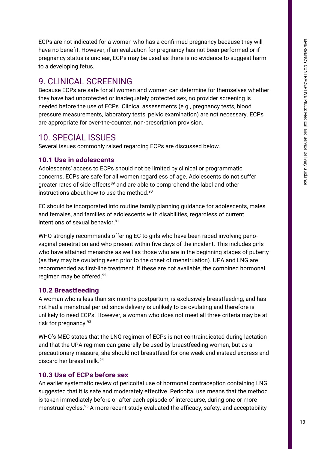ECPs are not indicated for a woman who has a confirmed pregnancy because they will have no benefit. However, if an evaluation for pregnancy has not been performed or if pregnancy status is unclear, ECPs may be used as there is no evidence to suggest harm to a developing fetus.

## 9. CLINICAL SCREENING

Because ECPs are safe for all women and women can determine for themselves whether they have had unprotected or inadequately protected sex, no provider screening is needed before the use of ECPs. Clinical assessments (e.g., pregnancy tests, blood pressure measurements, laboratory tests, pelvic examination) are not necessary. ECPs are appropriate for over-the-counter, non-prescription provision.

### 10. SPECIAL ISSUES

Several issues commonly raised regarding ECPs are discussed below.

#### **10.1 Use in adolescents**

Adolescents' access to ECPs should not be limited by clinical or programmatic concerns. ECPs are safe for all women regardless of age. Adolescents do not suffer greater rates of side effects<sup>89</sup> and are able to comprehend the label and other instructions about how to use the method.<sup>90</sup>

EC should be incorporated into routine family planning guidance for adolescents, males and females, and families of adolescents with disabilities, regardless of current intentions of sexual behavior.<sup>91</sup>

WHO strongly recommends offering EC to girls who have been raped involving penovaginal penetration and who present within five days of the incident. This includes girls who have attained menarche as well as those who are in the beginning stages of puberty (as they may be ovulating even prior to the onset of menstruation). UPA and LNG are recommended as first-line treatment. If these are not available, the combined hormonal regimen may be offered.<sup>92</sup>

#### **10.2 Breastfeeding**

A woman who is less than six months postpartum, is exclusively breastfeeding, and has not had a menstrual period since delivery is unlikely to be ovulating and therefore is unlikely to need ECPs. However, a woman who does not meet all three criteria may be at risk for pregnancy.<sup>93</sup>

WHO's MEC states that the LNG regimen of ECPs is not contraindicated during lactation and that the UPA regimen can generally be used by breastfeeding women, but as a precautionary measure, she should not breastfeed for one week and instead express and discard her breast milk 94

#### **10.3 Use of ECPs before sex**

An earlier systematic review of pericoital use of hormonal contraception containing LNG suggested that it is safe and moderately effective. Pericoital use means that the method is taken immediately before or after each episode of intercourse, during one or more menstrual cycles.<sup>95</sup> A more recent study evaluated the efficacy, safety, and acceptability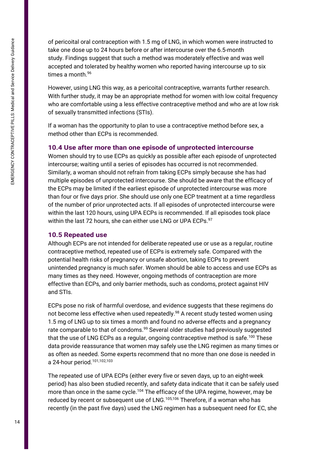of pericoital oral contraception with 1.5 mg of LNG, in which women were instructed to take one dose up to 24 hours before or after intercourse over the 6.5-month study. Findings suggest that such a method was moderately effective and was well accepted and tolerated by healthy women who reported having intercourse up to six times a month.<sup>96</sup>

However, using LNG this way, as a pericoital contraceptive, warrants further research. With further study, it may be an appropriate method for women with low coital frequency who are comfortable using a less effective contraceptive method and who are at low risk of sexually transmitted infections (STIs).

If a woman has the opportunity to plan to use a contraceptive method before sex, a method other than ECPs is recommended.

#### **10.4 Use after more than one episode of unprotected intercourse**

Women should try to use ECPs as quickly as possible after each episode of unprotected intercourse; waiting until a series of episodes has occurred is not recommended. Similarly, a woman should not refrain from taking ECPs simply because she has had multiple episodes of unprotected intercourse. She should be aware that the efficacy of the ECPs may be limited if the earliest episode of unprotected intercourse was more than four or five days prior. She should use only one ECP treatment at a time regardless of the number of prior unprotected acts. If all episodes of unprotected intercourse were within the last 120 hours, using UPA ECPs is recommended. If all episodes took place within the last 72 hours, she can either use LNG or UPA ECPs.<sup>97</sup>

#### **10.5 Repeated use**

Although ECPs are not intended for deliberate repeated use or use as a regular, routine contraceptive method, repeated use of ECPs is extremely safe. Compared with the potential health risks of pregnancy or unsafe abortion, taking ECPs to prevent unintended pregnancy is much safer. Women should be able to access and use ECPs as many times as they need. However, ongoing methods of contraception are more effective than ECPs, and only barrier methods, such as condoms, protect against HIV and STIs.

ECPs pose no risk of harmful overdose, and evidence suggests that these regimens do not become less effective when used repeatedly.<sup>98</sup> A recent study tested women using 1.5 mg of LNG up to six times a month and found no adverse effects and a pregnancy rate comparable to that of condoms.<sup>99</sup> Several older studies had previously suggested that the use of LNG ECPs as a regular, ongoing contraceptive method is safe.<sup>100</sup> These data provide reassurance that women may safely use the LNG regimen as many times or as often as needed. Some experts recommend that no more than one dose is needed in a 24-hour period.101,102,103

The repeated use of UPA ECPs (either every five or seven days, up to an eight-week period) has also been studied recently, and safety data indicate that it can be safely used more than once in the same cycle.<sup>104</sup> The efficacy of the UPA regime, however, may be reduced by recent or subsequent use of LNG.<sup>105,106</sup> Therefore, if a woman who has recently (in the past five days) used the LNG regimen has a subsequent need for EC, she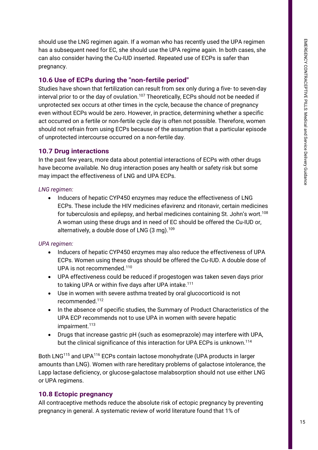should use the LNG regimen again. If a woman who has recently used the UPA regimen has a subsequent need for EC, she should use the UPA regime again. In both cases, she can also consider having the Cu-IUD inserted. Repeated use of ECPs is safer than pregnancy.

#### **10.6 Use of ECPs during the "non-fertile period"**

Studies have shown that fertilization can result from sex only during a five- to seven-day interval prior to or the day of ovulation.<sup>107</sup> Theoretically, ECPs should not be needed if unprotected sex occurs at other times in the cycle, because the chance of pregnancy even without ECPs would be zero. However, in practice, determining whether a specific act occurred on a fertile or non-fertile cycle day is often not possible. Therefore, women should not refrain from using ECPs because of the assumption that a particular episode of unprotected intercourse occurred on a non-fertile day.

#### **10.7 Drug interactions**

In the past few years, more data about potential interactions of ECPs with other drugs have become available. No drug interaction poses any health or safety risk but some may impact the effectiveness of LNG and UPA ECPs.

#### *LNG regimen:*

• Inducers of hepatic CYP450 enzymes may reduce the effectiveness of LNG ECPs. These include the HIV medicines efavirenz and ritonavir, certain medicines for tuberculosis and epilepsy, and herbal medicines containing St. John's wort.<sup>108</sup> A woman using these drugs and in need of EC should be offered the Cu-IUD or, alternatively, a double dose of LNG  $(3 \text{ mg})$ .<sup>109</sup>

#### *UPA regimen:*

- Inducers of hepatic CYP450 enzymes may also reduce the effectiveness of UPA ECPs. Women using these drugs should be offered the Cu-IUD. A double dose of UPA is not recommended.<sup>110</sup>
- UPA effectiveness could be reduced if progestogen was taken seven days prior to taking UPA or within five days after UPA intake.<sup>111</sup>
- Use in women with severe asthma treated by oral glucocorticoid is not recommended.<sup>112</sup>
- In the absence of specific studies, the Summary of Product Characteristics of the UPA ECP recommends not to use UPA in women with severe hepatic impairment.<sup>113</sup>
- Drugs that increase gastric pH (such as esomeprazole) may interfere with UPA, but the clinical significance of this interaction for UPA ECPs is unknown.<sup>114</sup>

Both LNG<sup>115</sup> and UPA<sup>116</sup> ECPs contain lactose monohydrate (UPA products in larger amounts than LNG). Women with rare hereditary problems of galactose intolerance, the Lapp lactase deficiency, or glucose-galactose malabsorption should not use either LNG or UPA regimens.

#### **10.8 Ectopic pregnancy**

All contraceptive methods reduce the absolute risk of ectopic pregnancy by preventing pregnancy in general. A systematic review of world literature found that 1% of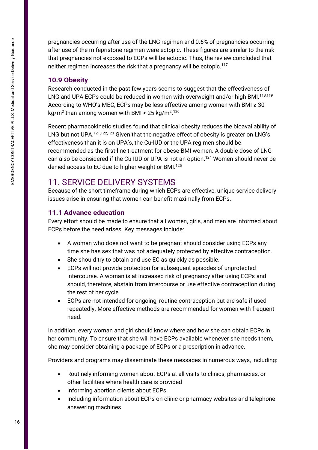pregnancies occurring after use of the LNG regimen and 0.6% of pregnancies occurring after use of the mifepristone regimen were ectopic. These figures are similar to the risk that pregnancies not exposed to ECPs will be ectopic. Thus, the review concluded that neither regimen increases the risk that a pregnancy will be ectopic.<sup>117</sup>

#### **10.9 Obesity**

Research conducted in the past few years seems to suggest that the effectiveness of LNG and UPA ECPs could be reduced in women with overweight and/or high BMI.<sup>118,119</sup> According to WHO's MEC, ECPs may be less effective among women with BMI ≥ 30 kg/m<sup>2</sup> than among women with BMI < 25 kg/m<sup>2</sup>.<sup>120</sup>

Recent pharmacokinetic studies found that clinical obesity reduces the bioavailability of LNG but not UPA.<sup>121,122,123</sup> Given that the negative effect of obesity is greater on LNG's effectiveness than it is on UPA's, the Cu-IUD or the UPA regimen should be recommended as the first-line treatment for obese-BMI women. A double dose of LNG can also be considered if the Cu-IUD or UPA is not an option. <sup>124</sup> Women should never be denied access to EC due to higher weight or BMI. 125

## 11. SERVICE DELIVERY SYSTEMS

Because of the short timeframe during which ECPs are effective, unique service delivery issues arise in ensuring that women can benefit maximally from ECPs.

#### **11.1 Advance education**

Every effort should be made to ensure that all women, girls, and men are informed about ECPs before the need arises. Key messages include:

- A woman who does not want to be pregnant should consider using ECPs any time she has sex that was not adequately protected by effective contraception.
- She should try to obtain and use EC as quickly as possible.
- ECPs will not provide protection for subsequent episodes of unprotected intercourse. A woman is at increased risk of pregnancy after using ECPs and should, therefore, abstain from intercourse or use effective contraception during the rest of her cycle.
- ECPs are not intended for ongoing, routine contraception but are safe if used repeatedly. More effective methods are recommended for women with frequent need.

In addition, every woman and girl should know where and how she can obtain ECPs in her community. To ensure that she will have ECPs available whenever she needs them, she may consider obtaining a package of ECPs or a prescription in advance.

Providers and programs may disseminate these messages in numerous ways, including:

- Routinely informing women about ECPs at all visits to clinics, pharmacies, or other facilities where health care is provided
- Informing abortion clients about ECPs
- Including information about ECPs on clinic or pharmacy websites and telephone answering machines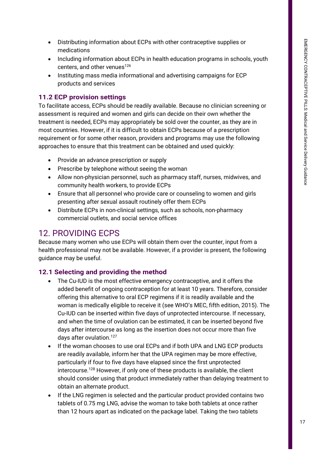- Distributing information about ECPs with other contraceptive supplies or medications
- Including information about ECPs in health education programs in schools, youth centers, and other venues<sup>126</sup>
- Instituting mass media informational and advertising campaigns for ECP products and services

#### **11.2 ECP provision settings**

To facilitate access, ECPs should be readily available. Because no clinician screening or assessment is required and women and girls can decide on their own whether the treatment is needed, ECPs may appropriately be sold over the counter, as they are in most countries. However, if it is difficult to obtain ECPs because of a prescription requirement or for some other reason, providers and programs may use the following approaches to ensure that this treatment can be obtained and used quickly:

- Provide an advance prescription or supply
- Prescribe by telephone without seeing the woman
- Allow non-physician personnel, such as pharmacy staff, nurses, midwives, and community health workers, to provide ECPs
- Ensure that all personnel who provide care or counseling to women and girls presenting after sexual assault routinely offer them ECPs
- Distribute ECPs in non-clinical settings, such as schools, non-pharmacy commercial outlets, and social service offices

### 12. PROVIDING ECPS

Because many women who use ECPs will obtain them over the counter, input from a health professional may not be available. However, if a provider is present, the following guidance may be useful.

#### **12.1 Selecting and providing the method**

- The Cu-IUD is the most effective emergency contraceptive, and it offers the added benefit of ongoing contraception for at least 10 years. Therefore, consider offering this alternative to oral ECP regimens if it is readily available and the woman is medically eligible to receive it (see WHO's MEC, fifth edition, 2015). The Cu-IUD can be inserted within five days of unprotected intercourse. If necessary, and when the time of ovulation can be estimated, it can be inserted beyond five days after intercourse as long as the insertion does not occur more than five days after ovulation.<sup>127</sup>
- If the woman chooses to use oral ECPs and if both UPA and LNG ECP products are readily available, inform her that the UPA regimen may be more effective, particularly if four to five days have elapsed since the first unprotected intercourse. <sup>128</sup> However, if only one of these products is available, the client should consider using that product immediately rather than delaying treatment to obtain an alternate product.
- If the LNG regimen is selected and the particular product provided contains two tablets of 0.75 mg LNG, advise the woman to take both tablets at once rather than 12 hours apart as indicated on the package label. Taking the two tablets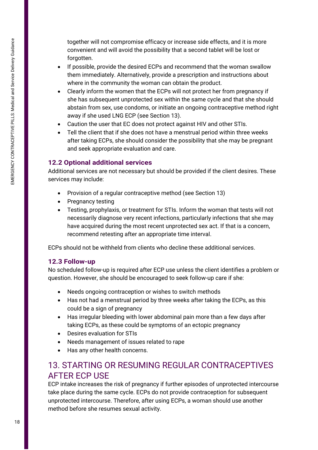together will not compromise efficacy or increase side effects, and it is more convenient and will avoid the possibility that a second tablet will be lost or forgotten.

- If possible, provide the desired ECPs and recommend that the woman swallow them immediately. Alternatively, provide a prescription and instructions about where in the community the woman can obtain the product.
- Clearly inform the women that the ECPs will not protect her from pregnancy if she has subsequent unprotected sex within the same cycle and that she should abstain from sex, use condoms, or initiate an ongoing contraceptive method right away if she used LNG ECP (see Section 13).
- Caution the user that EC does not protect against HIV and other STIs.
- Tell the client that if she does not have a menstrual period within three weeks after taking ECPs, she should consider the possibility that she may be pregnant and seek appropriate evaluation and care.

#### **12.2 Optional additional services**

Additional services are not necessary but should be provided if the client desires. These services may include:

- Provision of a regular contraceptive method (see Section 13)
- Pregnancy testing
- Testing, prophylaxis, or treatment for STIs. Inform the woman that tests will not necessarily diagnose very recent infections, particularly infections that she may have acquired during the most recent unprotected sex act. If that is a concern, recommend retesting after an appropriate time interval.

ECPs should not be withheld from clients who decline these additional services.

#### **12.3 Follow-up**

No scheduled follow-up is required after ECP use unless the client identifies a problem or question. However, she should be encouraged to seek follow-up care if she:

- Needs ongoing contraception or wishes to switch methods
- Has not had a menstrual period by three weeks after taking the ECPs, as this could be a sign of pregnancy
- Has irregular bleeding with lower abdominal pain more than a few days after taking ECPs, as these could be symptoms of an ectopic pregnancy
- Desires evaluation for STIs
- Needs management of issues related to rape
- Has any other health concerns.

## 13. STARTING OR RESUMING REGULAR CONTRACEPTIVES AFTER ECP USE

ECP intake increases the risk of pregnancy if further episodes of unprotected intercourse take place during the same cycle. ECPs do not provide contraception for subsequent unprotected intercourse. Therefore, after using ECPs, a woman should use another method before she resumes sexual activity.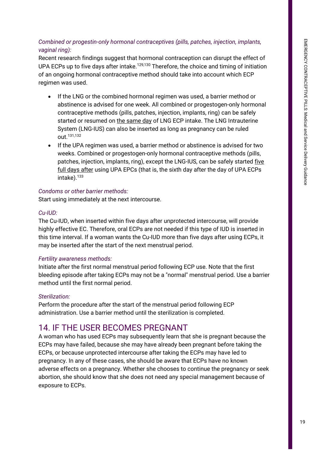#### *Combined or progestin-only hormonal contraceptives (pills, patches, injection, implants, vaginal ring):*

Recent research findings suggest that hormonal contraception can disrupt the effect of UPA ECPs up to five days after intake.<sup>129,130</sup> Therefore, the choice and timing of initiation of an ongoing hormonal contraceptive method should take into account which ECP regimen was used.

- If the LNG or the combined hormonal regimen was used, a barrier method or abstinence is advised for one week. All combined or progestogen-only hormonal contraceptive methods (pills, patches, injection, implants, ring) can be safely started or resumed on the same day of LNG ECP intake. The LNG Intrauterine System (LNG-IUS) can also be inserted as long as pregnancy can be ruled out. 131,132
- If the UPA regimen was used, a barrier method or abstinence is advised for two weeks. Combined or progestogen-only hormonal contraceptive methods (pills, patches, injection, implants, ring), except the LNG-IUS, can be safely started five full days after using UPA EPCs (that is, the sixth day after the day of UPA ECPs intake). $^{133}$

#### *Condoms or other barrier methods:*

Start using immediately at the next intercourse.

#### *Cu-IUD:*

The Cu-IUD, when inserted within five days after unprotected intercourse, will provide highly effective EC. Therefore, oral ECPs are not needed if this type of IUD is inserted in this time interval. If a woman wants the Cu-IUD more than five days after using ECPs, it may be inserted after the start of the next menstrual period.

#### *Fertility awareness methods:*

Initiate after the first normal menstrual period following ECP use. Note that the first bleeding episode after taking ECPs may not be a "normal" menstrual period. Use a barrier method until the first normal period.

#### *Sterilization:*

Perform the procedure after the start of the menstrual period following ECP administration. Use a barrier method until the sterilization is completed.

## 14. IF THE USER BECOMES PREGNANT

A woman who has used ECPs may subsequently learn that she is pregnant because the ECPs may have failed, because she may have already been pregnant before taking the ECPs, or because unprotected intercourse after taking the ECPs may have led to pregnancy. In any of these cases, she should be aware that ECPs have no known adverse effects on a pregnancy. Whether she chooses to continue the pregnancy or seek abortion, she should know that she does not need any special management because of exposure to ECPs.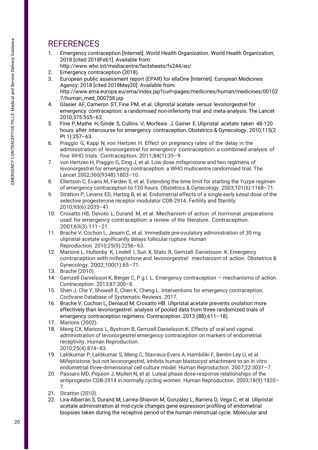## **REFERENCES**

- 1. Emergency contraception [Internet]. World Health Organization. World Health Organization; 2018 [cited 2018Feb1]. Available from:
- http://www.who.int/mediacentre/factsheets/fs244/en/
- 2. Emergency contraception (2018).
- 3. European public assessment report (EPAR) for ellaOne [Internet]. European Medicines Agency; 2018 [cited 2018May20]. Available from: http://www.ema.europa.eu/ema/index.jsp?curl=pages/medicines/human/medicines/00102 7/human\_med\_000758.jsp
- 4. Glasier AF, Cameron ST, Fine PM, et al. Ulipristal acetate versus levonorgestrel for emergency contraception: a randomised non-inferiority trial and meta-analysis. The Lancet 2010;375:555–62.
- 5. Fine P,Mathe H, Ginde S, Cullins V, Morfesis J, Gainer E.Ulipristal acetate taken 48-120 hours after intercourse for emergency contraception. Obstetrics & Gynecology. 2010;115(2) Pt 1):257–63.
- 6. Piaggio G, Kapp N, von Hertzen H. Effect on pregnancy rates of the delay in the administration of levonorgestrel for emergency contraception: a combined analysis of four WHO trials. Contraception. 2011;84(1):35–9.
- 7. von Hertzen H, Piaggio G, Ding J, et al. Low dose mifepristone and two regimens of levonorgestrel for emergency contraception: a WHO multicentre randomised trial. The Lancet 2002;360(9348):1803–10.
- 8. Ellertson C, Evans M, Ferden S, et al. Extending the time limit for starting the Yuzpe regimen of emergency contraception to 120 hours. Obstetrics & Gynecology. 2003;101(6):1168–71.
- 9. Stratton P, Levens ED, Hartog B, et al. Endometrial effects of a single early luteal dose of the selective progesterone receptor modulator CDB-2914. Fertility and Sterility. 2010;93(6):2035–41.
- 10. Croxatto HB, Devoto L, Durand M, et al. Mechanism of action of hormonal preparations used for emergency contraception: a review of the literature. Contraception. 2001;63(3):111–21.
- 11. Brache V, Cochon L, Jesam C, et al. Immediate pre-ovulatory administration of 30 mg ulipristal acetate significantly delays follicular rupture. Human Reproduction. 2010;25(9):2256–63.
- 12. Marions L, Hultenby K, Lindell I, Sun X, Stabi B, Gemzell Danielsson K. Emergency contraception with mifepristone and levonorgestrel: mechanism of action. Obstetrics & Gynecology. 2002;100(1):65–71.
- 13. Brache (2010).
- 14. Gemzell-Danielsson K, Berger C, P.g.l. L. Emergency contraception mechanisms of action. Contraception. 2013;87:300–8.
- 15. Shen J, Che Y, Showell E, Chen K, Cheng L. Interventions for emergency contraception. Cochrane Database of Systematic Reviews. 2017.
- 16. Brache V, Cochon L, Deniaud M, Croxatto HB. Ulipristal acetate prevents ovulation more effectively than levonorgestrel: analysis of pooled data from three randomized trials of emergency contraception regimens. Contraception. 2013 (88):611–18).
- 17. Marions (2002).
- 18. Meng CX, Marions L, Bystrom B, Gemzell-Danielsson K. Effects of oral and vaginal administration of levonorgestrel emergency contraception on markers of endometrial receptivity. Human Reproduction. 2010;25(4):874–83.
- 19. Lalitkumar P, Lalitkumar S, Meng C, Stavreus-Evers A, Hambiliki F, Bentin-Ley U, et al. Mifepristone, but not levonorgestrel, inhibits human blastocyst attachment to an in vitro endometrial three-dimensional cell culture model. Human Reproduction. 2007;22:3031–7.
- 20. Passaro MD, Piquion J, Mullen N, et al. Luteal phase dose-response relationships of the antiprogestin CDB-2914 in normally cycling women. Human Reproduction. 2003;18(9):1820– 7.
- 21. Stratton (2010).
- 22. Lira-Albarrán S, Durand M, Larrea-Shiavon M, González L, Barrera D, Vega C, et al. Ulipristal acetate administration at mid-cycle changes gene expression profiling of endometrial biopsies taken during the receptive period of the human menstrual cycle. Molecular and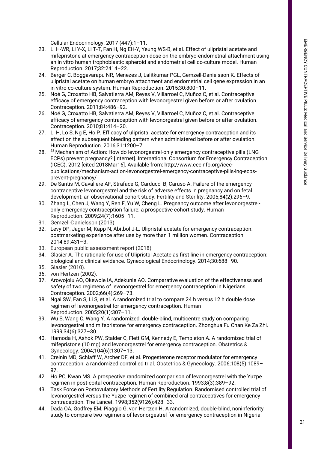Cellular Endocrinology. 2017 (447):1–11.

- 23. Li H-WR, Li Y-X, Li T-T, Fan H, Ng EH-Y, Yeung WS-B, et al. Effect of ulipristal acetate and mifepristone at emergency contraception dose on the embryo-endometrial attachment using an in vitro human trophoblastic spheroid and endometrial cell co-culture model. Human Reproduction. 2017;32:2414–22.
- 24. Berger C, Boggavarapu NR, Menezes J, Lalitkumar PGL, Gemzell-Danielsson K. Effects of ulipristal acetate on human embryo attachment and endometrial cell gene expression in an in vitro co-culture system. Human Reproduction. 2015;30:800–11.
- 25. Noé G, Croxatto HB, Salvatierra AM, Reyes V, Villarroel C, Muñoz C, et al. Contraceptive efficacy of emergency contraception with levonorgestrel given before or after ovulation. Contraception. 2011;84:486–92.
- 26. Noé G, Croxatto HB, Salvatierra AM, Reyes V, Villarroel C, Muñoz C, et al. Contraceptive efficacy of emergency contraception with levonorgestrel given before or after ovulation. Contraception. 2010;81:414–20.
- 27. Li H, Lo S, Ng E, Ho P. Efficacy of ulipristal acetate for emergency contraception and its effect on the subsequent bleeding pattern when administered before or after ovulation. Human Reproduction. 2016;31:1200–7.
- 28. <sup>28</sup> Mechanism of Action: How do levonorgestrel-only emergency contraceptive pills (LNG ECPs) prevent pregnancy? [Internet]. International Consortium for Emergency Contraception (ICEC). 2012 [cited 2018Mar16]. Available from: http://www.cecinfo.org/icecpublications/mechanism-action-levonorgestrel-emergency-contraceptive-pills-lng-ecpsprevent-pregnancy/
- 29. De Santis M, Cavaliere AF, Straface G, Carducci B, Caruso A. Failure of the emergency contraceptive levonorgestrel and the risk of adverse effects in pregnancy and on fetal development: an observational cohort study. Fertility and Sterility. 2005;84(2):296–9.
- 30. Zhang L, Chen J, Wang Y, Ren F, Yu W, Cheng L. Pregnancy outcome after levonorgestrelonly emergency contraception failure: a prospective cohort study. Human Reproduction. 2009;24(7):1605–11.
- 31. Gemzell-Danielsson (2013)
- 32. Levy DP, Jager M, Kapp N, Abitbol J-L. Ulipristal acetate for emergency contraception: postmarketing experience after use by more than 1 million women. Contraception. 2014;89:431–3.
- 33. European public assessment report (2018)
- 34. Glasier A. The rationale for use of Ulipristal Acetate as first line in emergency contraception: biological and clinical evidence. Gynecological Endocrinology. 2014;30:688–90.
- 35. Glasier (2010).
- 36. von Hertzen (2002).
- 37. Arowojolu AO, Okewole IA, Adekunle AO. Comparative evaluation of the effectiveness and safety of two regimens of levonorgestrel for emergency contraception in Nigerians. Contraception. 2002;66(4):269–73.
- 38. Ngai SW, Fan S, Li S, et al. A randomized trial to compare 24 h versus 12 h double dose regimen of levonorgestrel for emergency contraception. Human Reproduction. 2005;20(1):307–11.
- 39. Wu S, Wang C, Wang Y. A randomized, double-blind, multicentre study on comparing levonorgestrel and mifepristone for emergency contraception. Zhonghua Fu Chan Ke Za Zhi. 1999;34(6):327–30.
- 40. Hamoda H, Ashok PW, Stalder C, Flett GM, Kennedy E, Templeton A. A randomized trial of mifepristone (10 mg) and levonorgestrel for emergency contraception. Obstetrics & Gynecology. 2004;104(6):1307–13.
- 41. Creinin MD, Schlaff W, Archer DF, et al. Progesterone receptor modulator for emergency contraception: a randomized controlled trial. Obstetrics & Gynecology. 2006;108(5):1089– 97.
- 42. Ho PC, Kwan MS. A prospective randomized comparison of levonorgestrel with the Yuzpe regimen in post-coital contraception. Human Reproduction. 1993;8(3):389–92.
- 43. Task Force on Postovulatory Methods of Fertility Regulation. Randomised controlled trial of levonorgestrel versus the Yuzpe regimen of combined oral contraceptives for emergency contraception. The Lancet. 1998;352(9126):428–33.
- 44. Dada OA, Godfrey EM, Piaggio G, von Hertzen H. A randomized, double-blind, noninferiority study to compare two regimens of levonorgestrel for emergency contraception in Nigeria.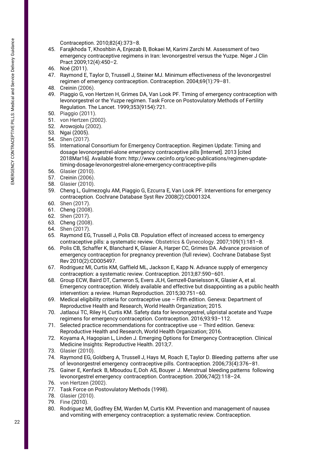Contraception. 2010;82(4):373–8.

- 45. Farajkhoda T, Khoshbin A, Enjezab B, Bokaei M, Karimi Zarchi M. Assessment of two emergency contraceptive regimens in Iran: levonorgestrel versus the Yuzpe. Niger J Clin Pract 2009;12(4):450–2.
- 46. Noé (2011).
- 47. Raymond E, Taylor D, Trussell J, Steiner MJ. Minimum effectiveness of the levonorgestrel regimen of emergency contraception. Contraception. 2004;69(1):79–81.
- 48. Creinin (2006).
- 49. Piaggio G, von Hertzen H, Grimes DA, Van Look PF. Timing of emergency contraception with levonorgestrel or the Yuzpe regimen. Task Force on Postovulatory Methods of Fertility Regulation. The Lancet. 1999;353(9154):721.
- 50. Piaggio (2011).
- 51. von Hertzen (2002).
- 52. Arowojolu (2002).
- 53. Ngai (2005).
- 54. Shen (2017).
- 55. International Consortium for Emergency Contraception. Regimen Update: Timing and dosage levonorgestrel-alone emergency contraceptive pills [Internet]. 2013 [cited 2018Mar16]. Available from: http://www.cecinfo.org/icec-publications/regimen-updatetiming-dosage-levonorgestrel-alone-emergency-contraceptive-pills
- 56. Glasier (2010).
- 57. Creinin (2006).
- 58. Glasier (2010).
- 59. Cheng L, Gulmezoglu AM, Piaggio G, Ezcurra E, Van Look PF. Interventions for emergency contraception. Cochrane Database Syst Rev 2008(2):CD001324.
- 60. Shen (2017).
- 61. Cheng (2008).
- 62. Shen (2017).
- 63. Cheng (2008).
- 64. Shen (2017).
- 65. Raymond EG, Trussell J, Polis CB. Population effect of increased access to emergency contraceptive pills: a systematic review. Obstetrics & Gynecology. 2007;109(1):181–8.
- 66. Polis CB, Schaffer K, Blanchard K, Glasier A, Harper CC, Grimes DA. Advance provision of emergency contraception for pregnancy prevention (full review). Cochrane Database Syst Rev 2010(2):CD005497.
- 67. Rodriguez MI, Curtis KM, Gaffield ML, Jackson E, Kapp N. Advance supply of emergency contraception: a systematic review. Contraception. 2013;87:590–601.
- 68. Group ECW, Baird DT, Cameron S, Evers JLH, Gemzell-Danielsson K, Glasier A, et al. Emergency contraception. Widely available and effective but disappointing as a public health intervention: a review. Human Reproduction. 2015;30:751–60.
- 69. Medical eligibility criteria for contraceptive use Fifth edition. Geneva: Department of Reproductive Health and Research, World Health Organization; 2015.
- 70. Jatlaoui TC, Riley H, Curtis KM. Safety data for levonorgestrel, ulipristal acetate and Yuzpe regimens for emergency contraception. Contraception. 2016;93:93–112.
- 71. Selected practice recommendations for contraceptive use Third edition. Geneva: Reproductive Health and Research, World Health Organization; 2016.
- 72. Koyama A, Hagopian L, Linden J. Emerging Options for Emergency Contraception. Clinical Medicine Insights: Reproductive Health. 2013;7.
- 73. Glasier (2010).
- 74. Raymond EG, Goldberg A, Trussell J, Hays M, Roach E, Taylor D. Bleeding patterns after use of levonorgestrel emergency contraceptive pills. Contraception. 2006;73(4):376–81.
- 75. Gainer E, Kenfack B, Mboudou E, Doh AS, Bouyer J. Menstrual bleeding patterns following levonorgestrel emergency contraception. Contraception. 2006;74(2):118–24.
- 76. von Hertzen (2002).
- 77. Task Force on Postovulatory Methods (1998).
- 78. Glasier (2010).
- 79. Fine (2010).
- 80. Rodriguez MI, Godfrey EM, Warden M, Curtis KM. Prevention and management of nausea and vomiting with emergency contraception: a systematic review. Contraception.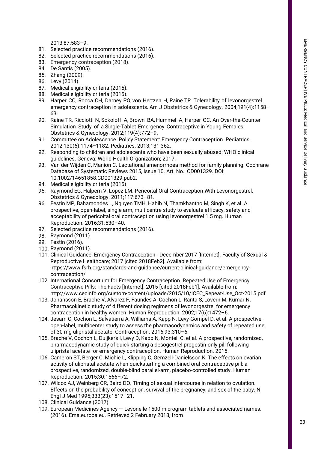2013;87:583–9.

- 81. Selected practice recommendations (2016).
- 82. Selected practice recommendations (2016).
- 83. Emergency contraception (2018).
- 84. De Santis (2005).
- 85. Zhang (2009).
- 86. Levy (2014).
- 87. Medical eligibility criteria (2015).
- 88. Medical eligibility criteria (2015).
- 89. Harper CC, Rocca CH, Darney PO, von Hertzen H, Raine TR. Tolerability of levonorgestrel emergency contraception in adolescents. Am J Obstetrics & Gynecology. 2004;191(4):1158– 63.
- 90. Raine TR, Ricciotti N, Sokoloff A, Brown BA, Hummel A, Harper CC. An Over-the-Counter Simulation Study of a Single-Tablet Emergency Contraceptive in Young Females. Obstetrics & Gynecology. 2012;119(4):772–9.
- 91. Committee on Adolescence. Policy Statement: Emergency Contraception. Pediatrics. 2012;130(6):1174–1182. Pediatrics. 2013;131:362.
- 92. Responding to children and adolescents who have been sexually abused: WHO clinical guidelines. Geneva: World Health Organization; 2017.
- 93. Van der Wijden C, Manion C. Lactational amenorrhoea method for family planning. Cochrane Database of Systematic Reviews 2015, Issue 10. Art. No.: CD001329. DOI: 10.1002/14651858.CD001329.pub2.
- 94. Medical eligibility criteria (2015)
- 95. Raymond EG, Halpern V, Lopez LM. Pericoital Oral Contraception With Levonorgestrel. Obstetrics & Gynecology. 2011;117:673–81.
- 96. Festin MP, Bahamondes L, Nguyen TMH, Habib N, Thamkhantho M, Singh K, et al. A prospective, open-label, single arm, multicentre study to evaluate efficacy, safety and acceptability of pericoital oral contraception using levonorgestrel 1.5 mg. Human Reproduction. 2016;31:530–40.
- 97. Selected practice recommendations (2016).
- 98. Raymond (2011).
- 99. Festin (2016).
- 100. Raymond (2011).
- 101. Clinical Guidance: Emergency Contraception December 2017 [Internet]. Faculty of Sexual & Reproductive Healthcare; 2017 [cited 2018Feb2]. Available from: https://www.fsrh.org/standards-and-guidance/current-clinical-guidance/emergencycontraception/
- 102. International Consortium for Emergency Contraception. Repeated Use of Emergency Contraceptive Pills: The Facts [Internet]. 2015 [cited 2018Feb1]. Available from: http://www.cecinfo.org/custom-content/uploads/2015/10/ICEC\_Repeat-Use\_Oct-2015.pdf
- 103. Johansson E, Brache V, Alvarez F, Faundes A, Cochon L, Ranta S, Lovern M, Kumar N. Pharmacokinetic study of different dosing regimens of levonorgestrel for emergency contraception in healthy women. Human Reproduction. 2002;17(6):1472–6.
- 104. Jesam C, Cochon L, Salvatierra A, Williams A, Kapp N, Levy-Gompel D, et al. A prospective, open-label, multicenter study to assess the pharmacodynamics and safety of repeated use of 30 mg ulipristal acetate. Contraception. 2016;93:310–6.
- 105. Brache V, Cochon L, Duijkers I, Levy D, Kapp N, Monteil C, et al. A prospective, randomized, pharmacodynamic study of quick-starting a desogestrel progestin-only pill following ulipristal acetate for emergency contraception. Human Reproduction. 2015.
- 106. Cameron ST, Berger C, Michie L, Klipping C, Gemzell-Danielsson K. The effects on ovarian activity of ulipristal acetate when quickstarting a combined oral contraceptive pill: a prospective, randomized, double-blind parallel-arm, placebo-controlled study. Human Reproduction. 2015;30:1566–72.
- 107. Wilcox AJ, Weinberg CR, Baird DO. Timing of sexual intercourse in relation to ovulation. Effects on the probability of conception, survival of the pregnancy, and sex of the baby. N EngI J Med 1995;333(23):1517–21.
- 108. Clinical Guidance (2017)
- 109. European Medicines Agency Levonelle 1500 microgram tablets and associated names. (2016). Ema.europa.eu. Retrieved 2 February 2018, from